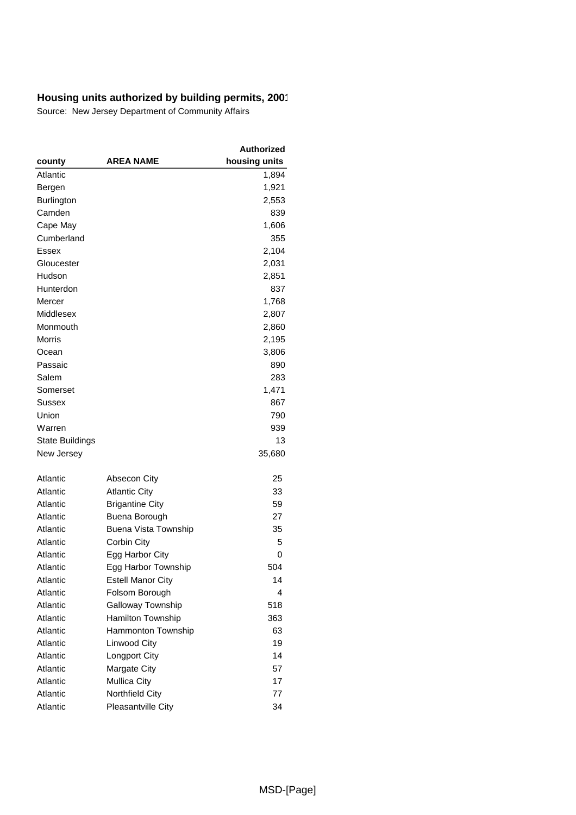|                        |                           | Authorized    |
|------------------------|---------------------------|---------------|
| county                 | <b>AREA NAME</b>          | housing units |
| Atlantic               |                           | 1,894         |
| Bergen                 |                           | 1,921         |
| <b>Burlington</b>      |                           | 2,553         |
| Camden                 |                           | 839           |
| Cape May               |                           | 1,606         |
| Cumberland             |                           | 355           |
| Essex                  |                           | 2,104         |
| Gloucester             |                           | 2,031         |
| Hudson                 |                           | 2,851         |
| Hunterdon              |                           | 837           |
| Mercer                 |                           | 1,768         |
| Middlesex              |                           | 2,807         |
| Monmouth               |                           | 2,860         |
| Morris                 |                           | 2,195         |
| Ocean                  |                           | 3,806         |
| Passaic                |                           | 890           |
| Salem                  |                           | 283           |
| Somerset               |                           | 1,471         |
| Sussex                 |                           | 867           |
| Union                  |                           | 790           |
| Warren                 |                           | 939           |
| <b>State Buildings</b> |                           | 13            |
| New Jersey             |                           | 35,680        |
|                        |                           |               |
| Atlantic               | Absecon City              | 25            |
| Atlantic               | <b>Atlantic City</b>      | 33            |
| Atlantic               | <b>Brigantine City</b>    | 59            |
| Atlantic               | Buena Borough             | 27            |
| Atlantic               | Buena Vista Township      | 35            |
| Atlantic               | Corbin City               | 5             |
| Atlantic               | Egg Harbor City           | 0             |
| Atlantic               | Egg Harbor Township       | 504           |
| Atlantic               | <b>Estell Manor City</b>  | 14            |
| Atlantic               | Folsom Borough            | 4             |
| Atlantic               | Galloway Township         | 518           |
| Atlantic               | Hamilton Township         | 363           |
| Atlantic               | Hammonton Township        | 63            |
| Atlantic               | Linwood City              | 19            |
| Atlantic               | Longport City             | 14            |
| Atlantic               | Margate City              | 57            |
| Atlantic               | <b>Mullica City</b>       | 17            |
| Atlantic               | Northfield City           | 77            |
| Atlantic               | <b>Pleasantville City</b> | 34            |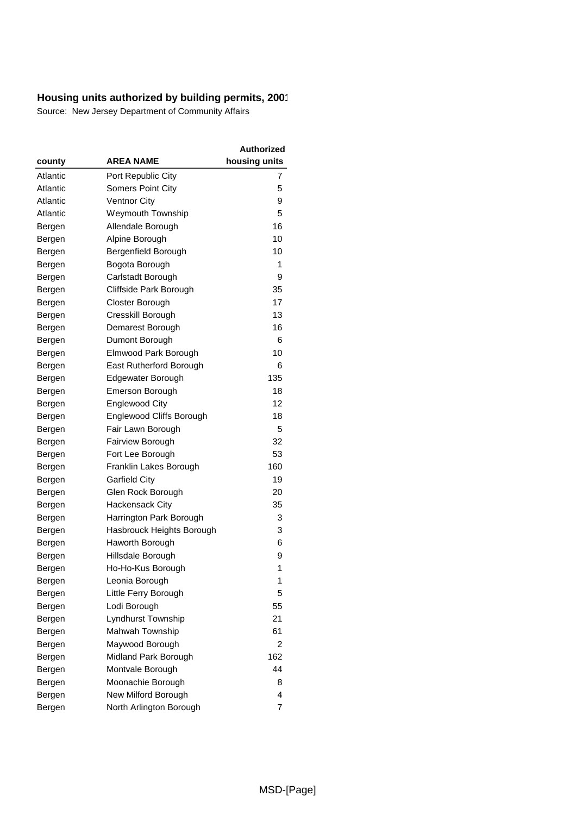| county           | AREA NAME                            | <b>Authorized</b><br>housing units |
|------------------|--------------------------------------|------------------------------------|
| Atlantic         | Port Republic City                   | 7                                  |
| Atlantic         | <b>Somers Point City</b>             | 5                                  |
| Atlantic         | <b>Ventnor City</b>                  | 9                                  |
| Atlantic         | Weymouth Township                    | 5                                  |
| Bergen           | Allendale Borough                    | 16                                 |
| Bergen           | Alpine Borough                       | 10                                 |
| Bergen           | Bergenfield Borough                  | 10                                 |
| Bergen           | Bogota Borough                       | 1                                  |
| Bergen           | Carlstadt Borough                    | 9                                  |
| Bergen           | Cliffside Park Borough               | 35                                 |
| Bergen           | Closter Borough                      | 17                                 |
| Bergen           | Cresskill Borough                    | 13                                 |
| Bergen           | Demarest Borough                     | 16                                 |
| Bergen           | Dumont Borough                       | 6                                  |
| Bergen           | Elmwood Park Borough                 | 10                                 |
| Bergen           | East Rutherford Borough              | 6                                  |
|                  | Edgewater Borough                    | 135                                |
| Bergen           | <b>Emerson Borough</b>               | 18                                 |
| Bergen<br>Bergen | <b>Englewood City</b>                | 12                                 |
|                  | Englewood Cliffs Borough             | 18                                 |
| Bergen           | Fair Lawn Borough                    | 5                                  |
| Bergen<br>Bergen | Fairview Borough                     | 32                                 |
|                  | Fort Lee Borough                     | 53                                 |
| Bergen           | Franklin Lakes Borough               | 160                                |
| Bergen           | <b>Garfield City</b>                 | 19                                 |
| Bergen<br>Bergen | Glen Rock Borough                    | 20                                 |
|                  | Hackensack City                      | 35                                 |
| Bergen           | Harrington Park Borough              | 3                                  |
| Bergen           |                                      | 3                                  |
| Bergen           | Hasbrouck Heights Borough            | 6                                  |
| Bergen           | Haworth Borough<br>Hillsdale Borough | 9                                  |
| Bergen           |                                      | 1                                  |
| Bergen           | Ho-Ho-Kus Borough                    | 1                                  |
| Bergen           | Leonia Borough                       | 5                                  |
| Bergen           | Little Ferry Borough                 | 55                                 |
| Bergen           | Lodi Borough                         | 21                                 |
| Bergen           | Lyndhurst Township                   |                                    |
| Bergen           | Mahwah Township                      | 61                                 |
| Bergen           | Maywood Borough                      | 2                                  |
| Bergen           | Midland Park Borough                 | 162<br>44                          |
| Bergen           | Montvale Borough                     |                                    |
| Bergen           | Moonachie Borough                    | 8                                  |
| Bergen           | New Milford Borough                  | 4                                  |
| Bergen           | North Arlington Borough              | 7                                  |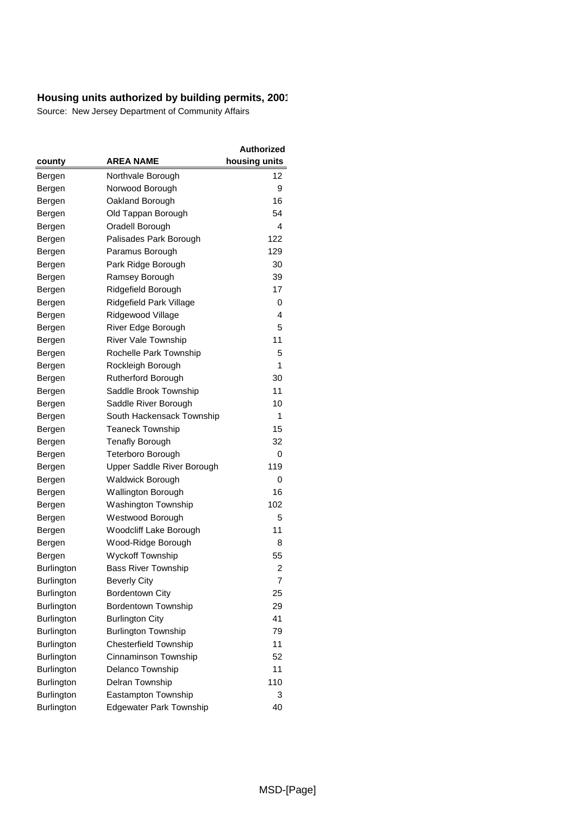|                   |                                | Authorized    |
|-------------------|--------------------------------|---------------|
| county            | <b>AREA NAME</b>               | housing units |
| Bergen            | Northvale Borough              | 12            |
| Bergen            | Norwood Borough                | 9             |
| Bergen            | Oakland Borough                | 16            |
| Bergen            | Old Tappan Borough             | 54            |
| Bergen            | Oradell Borough                | 4             |
| Bergen            | Palisades Park Borough         | 122           |
| Bergen            | Paramus Borough                | 129           |
| Bergen            | Park Ridge Borough             | 30            |
| Bergen            | Ramsey Borough                 | 39            |
| Bergen            | Ridgefield Borough             | 17            |
| Bergen            | Ridgefield Park Village        | 0             |
| Bergen            | Ridgewood Village              | 4             |
| Bergen            | River Edge Borough             | 5             |
| Bergen            | River Vale Township            | 11            |
| Bergen            | Rochelle Park Township         | 5             |
| Bergen            | Rockleigh Borough              | 1             |
| Bergen            | Rutherford Borough             | 30            |
| Bergen            | Saddle Brook Township          | 11            |
| Bergen            | Saddle River Borough           | 10            |
| Bergen            | South Hackensack Township      | 1             |
| Bergen            | <b>Teaneck Township</b>        | 15            |
| Bergen            | <b>Tenafly Borough</b>         | 32            |
| Bergen            | Teterboro Borough              | 0             |
| Bergen            | Upper Saddle River Borough     | 119           |
| Bergen            | Waldwick Borough               | 0             |
| Bergen            | Wallington Borough             | 16            |
| Bergen            | Washington Township            | 102           |
| Bergen            | Westwood Borough               | 5             |
| Bergen            | Woodcliff Lake Borough         | 11            |
| Bergen            | Wood-Ridge Borough             | 8             |
| Bergen            | <b>Wyckoff Township</b>        | 55            |
| Burlington        | <b>Bass River Township</b>     | 2             |
| Burlington        | <b>Beverly City</b>            | 7             |
| <b>Burlington</b> | <b>Bordentown City</b>         | 25            |
| Burlington        | Bordentown Township            | 29            |
| Burlington        | <b>Burlington City</b>         | 41            |
| <b>Burlington</b> | <b>Burlington Township</b>     | 79            |
| Burlington        | <b>Chesterfield Township</b>   | 11            |
| <b>Burlington</b> | Cinnaminson Township           | 52            |
| <b>Burlington</b> | Delanco Township               | 11            |
| Burlington        | Delran Township                | 110           |
| Burlington        | Eastampton Township            | 3             |
| Burlington        | <b>Edgewater Park Township</b> | 40            |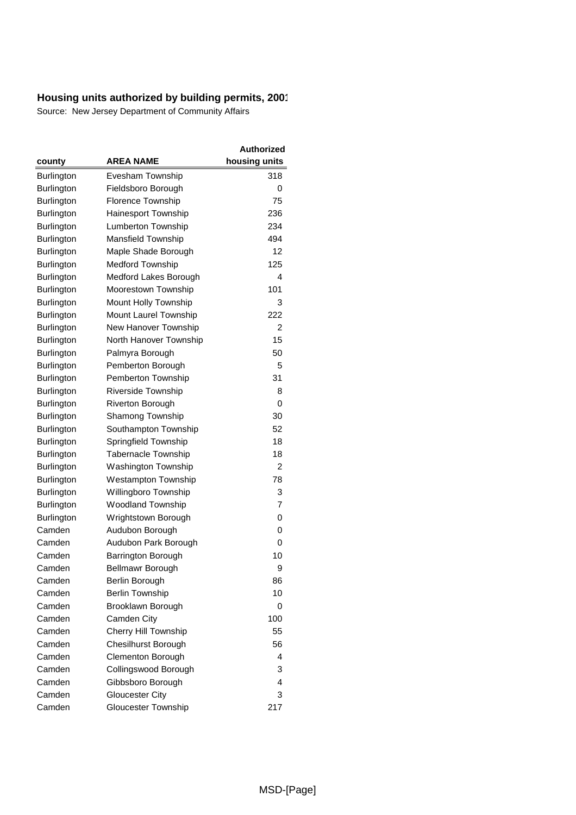|                   |                            | Authorized    |
|-------------------|----------------------------|---------------|
| county            | <b>AREA NAME</b>           | housing units |
| Burlington        | Evesham Township           | 318           |
| <b>Burlington</b> | Fieldsboro Borough         | 0             |
| Burlington        | <b>Florence Township</b>   | 75            |
| <b>Burlington</b> | Hainesport Township        | 236           |
| Burlington        | Lumberton Township         | 234           |
| Burlington        | Mansfield Township         | 494           |
| Burlington        | Maple Shade Borough        | 12            |
| Burlington        | <b>Medford Township</b>    | 125           |
| Burlington        | Medford Lakes Borough      | 4             |
| Burlington        | Moorestown Township        | 101           |
| Burlington        | Mount Holly Township       | 3             |
| Burlington        | Mount Laurel Township      | 222           |
| <b>Burlington</b> | New Hanover Township       | 2             |
| Burlington        | North Hanover Township     | 15            |
| Burlington        | Palmyra Borough            | 50            |
| Burlington        | Pemberton Borough          | 5             |
| Burlington        | Pemberton Township         | 31            |
| Burlington        | Riverside Township         | 8             |
| Burlington        | <b>Riverton Borough</b>    | 0             |
| Burlington        | Shamong Township           | 30            |
| Burlington        | Southampton Township       | 52            |
| Burlington        | Springfield Township       | 18            |
| Burlington        | <b>Tabernacle Township</b> | 18            |
| Burlington        | Washington Township        | 2             |
| Burlington        | <b>Westampton Township</b> | 78            |
| <b>Burlington</b> | Willingboro Township       | 3             |
| Burlington        | <b>Woodland Township</b>   | 7             |
| <b>Burlington</b> | Wrightstown Borough        | 0             |
| Camden            | Audubon Borough            | 0             |
| Camden            | Audubon Park Borough       | 0             |
| Camden            | Barrington Borough         | 10            |
| Camden            | <b>Bellmawr Borough</b>    | 9             |
| Camden            | Berlin Borough             | 86            |
| Camden            | <b>Berlin Township</b>     | 10            |
| Camden            | Brooklawn Borough          | 0             |
| Camden            | Camden City                | 100           |
| Camden            | Cherry Hill Township       | 55            |
| Camden            | <b>Chesilhurst Borough</b> | 56            |
| Camden            | Clementon Borough          | 4             |
| Camden            | Collingswood Borough       | 3             |
| Camden            | Gibbsboro Borough          | 4             |
| Camden            | <b>Gloucester City</b>     | 3             |
| Camden            | Gloucester Township        | 217           |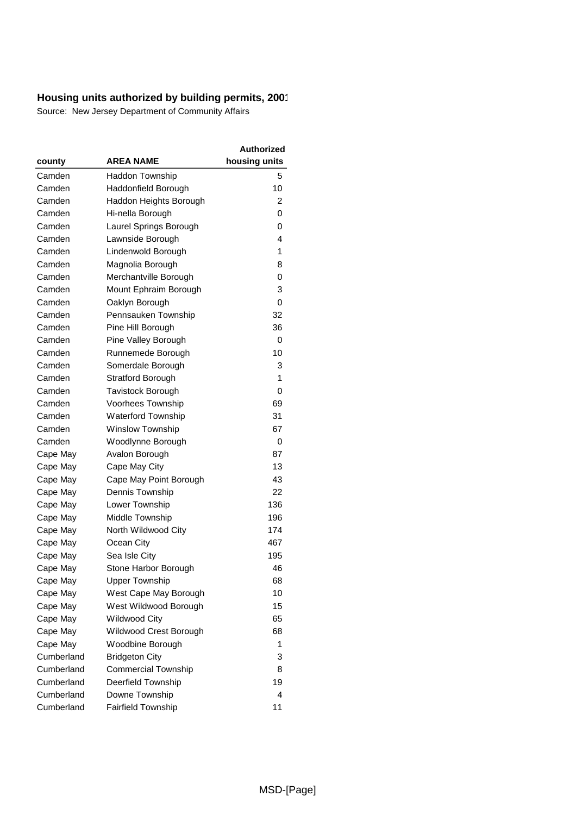|            |                            | <b>Authorized</b> |
|------------|----------------------------|-------------------|
| county     | <b>AREA NAME</b>           | housing units     |
| Camden     | Haddon Township            | 5                 |
| Camden     | Haddonfield Borough        | 10                |
| Camden     | Haddon Heights Borough     | 2                 |
| Camden     | Hi-nella Borough           | 0                 |
| Camden     | Laurel Springs Borough     | 0                 |
| Camden     | Lawnside Borough           | 4                 |
| Camden     | Lindenwold Borough         | 1                 |
| Camden     | Magnolia Borough           | 8                 |
| Camden     | Merchantville Borough      | 0                 |
| Camden     | Mount Ephraim Borough      | 3                 |
| Camden     | Oaklyn Borough             | 0                 |
| Camden     | Pennsauken Township        | 32                |
| Camden     | Pine Hill Borough          | 36                |
| Camden     | Pine Valley Borough        | 0                 |
| Camden     | Runnemede Borough          | 10                |
| Camden     | Somerdale Borough          | 3                 |
| Camden     | <b>Stratford Borough</b>   | 1                 |
| Camden     | <b>Tavistock Borough</b>   | 0                 |
| Camden     | Voorhees Township          | 69                |
| Camden     | <b>Waterford Township</b>  | 31                |
| Camden     | <b>Winslow Township</b>    | 67                |
| Camden     | Woodlynne Borough          | 0                 |
| Cape May   | Avalon Borough             | 87                |
| Cape May   | Cape May City              | 13                |
| Cape May   | Cape May Point Borough     | 43                |
| Cape May   | Dennis Township            | 22                |
| Cape May   | Lower Township             | 136               |
| Cape May   | Middle Township            | 196               |
| Cape May   | North Wildwood City        | 174               |
| Cape May   | Ocean City                 | 467               |
| Cape May   | Sea Isle City              | 195               |
| Cape May   | Stone Harbor Borough       | 46                |
| Cape May   | <b>Upper Township</b>      | 68                |
| Cape May   | West Cape May Borough      | 10                |
| Cape May   | West Wildwood Borough      | 15                |
| Cape May   | <b>Wildwood City</b>       | 65                |
| Cape May   | Wildwood Crest Borough     | 68                |
| Cape May   | Woodbine Borough           | 1                 |
| Cumberland | <b>Bridgeton City</b>      | 3                 |
| Cumberland | <b>Commercial Township</b> | 8                 |
| Cumberland | Deerfield Township         | 19                |
| Cumberland | Downe Township             | 4                 |
| Cumberland | <b>Fairfield Township</b>  | 11                |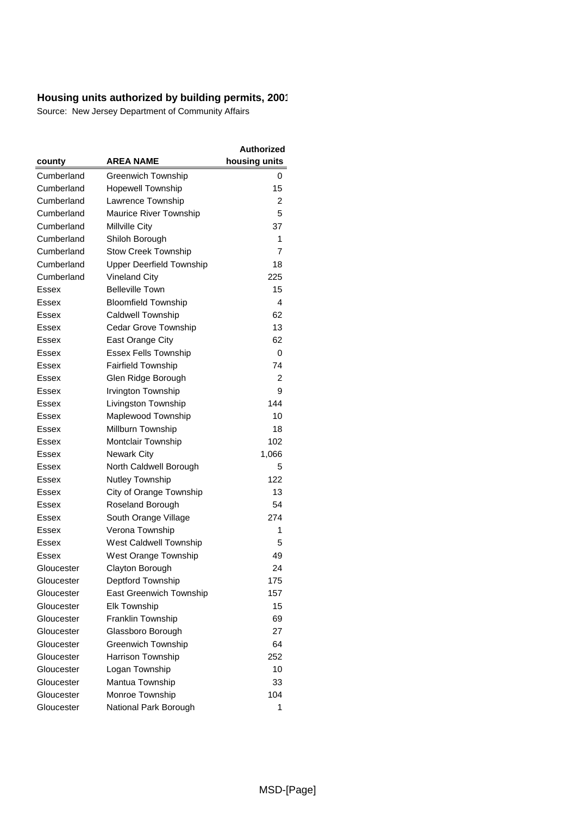|            |                                 | Authorized    |
|------------|---------------------------------|---------------|
| county     | <b>AREA NAME</b>                | housing units |
| Cumberland | Greenwich Township              | 0             |
| Cumberland | <b>Hopewell Township</b>        | 15            |
| Cumberland | Lawrence Township               | 2             |
| Cumberland | <b>Maurice River Township</b>   | 5             |
| Cumberland | Millville City                  | 37            |
| Cumberland | Shiloh Borough                  | 1             |
| Cumberland | <b>Stow Creek Township</b>      | 7             |
| Cumberland | <b>Upper Deerfield Township</b> | 18            |
| Cumberland | <b>Vineland City</b>            | 225           |
| Essex      | <b>Belleville Town</b>          | 15            |
| Essex      | <b>Bloomfield Township</b>      | 4             |
| Essex      | Caldwell Township               | 62            |
| Essex      | Cedar Grove Township            | 13            |
| Essex      | East Orange City                | 62            |
| Essex      | <b>Essex Fells Township</b>     | 0             |
| Essex      | <b>Fairfield Township</b>       | 74            |
| Essex      | Glen Ridge Borough              | 2             |
| Essex      | Irvington Township              | 9             |
| Essex      | Livingston Township             | 144           |
| Essex      | Maplewood Township              | 10            |
| Essex      | Millburn Township               | 18            |
| Essex      | Montclair Township              | 102           |
| Essex      | <b>Newark City</b>              | 1,066         |
| Essex      | North Caldwell Borough          | 5             |
| Essex      | Nutley Township                 | 122           |
| Essex      | City of Orange Township         | 13            |
| Essex      | Roseland Borough                | 54            |
| Essex      | South Orange Village            | 274           |
| Essex      | Verona Township                 | 1             |
| Essex      | West Caldwell Township          | 5             |
| Essex      | West Orange Township            | 49            |
| Gloucester | Clayton Borough                 | 24            |
| Gloucester | Deptford Township               | 175           |
| Gloucester | <b>East Greenwich Township</b>  | 157           |
| Gloucester | <b>Elk Township</b>             | 15            |
| Gloucester | Franklin Township               | 69            |
| Gloucester | Glassboro Borough               | 27            |
| Gloucester | Greenwich Township              | 64            |
| Gloucester | Harrison Township               | 252           |
| Gloucester | Logan Township                  | 10            |
| Gloucester | Mantua Township                 | 33            |
| Gloucester | Monroe Township                 | 104           |
| Gloucester | National Park Borough           | 1             |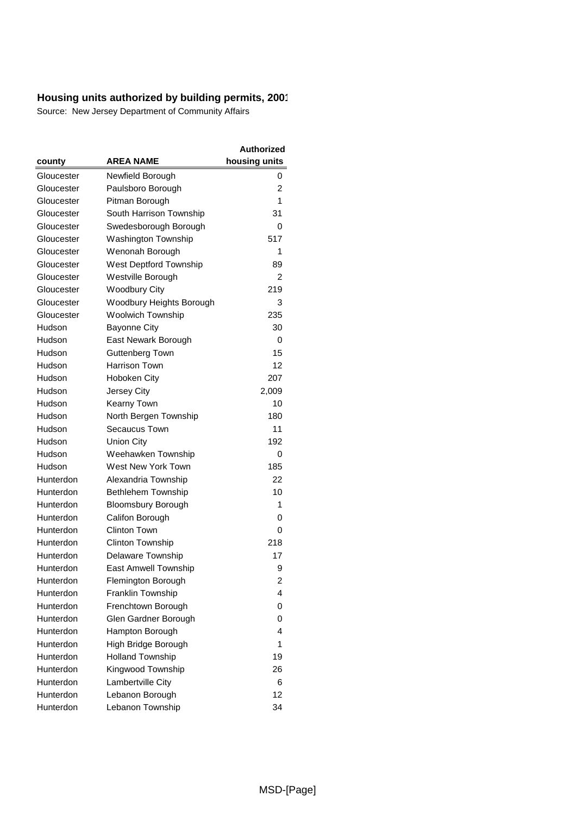|            |                            | <b>Authorized</b> |
|------------|----------------------------|-------------------|
| county     | <b>AREA NAME</b>           | housing units     |
| Gloucester | Newfield Borough           | 0                 |
| Gloucester | Paulsboro Borough          | $\overline{2}$    |
| Gloucester | Pitman Borough             | 1                 |
| Gloucester | South Harrison Township    | 31                |
| Gloucester | Swedesborough Borough      | 0                 |
| Gloucester | <b>Washington Township</b> | 517               |
| Gloucester | Wenonah Borough            | 1                 |
| Gloucester | West Deptford Township     | 89                |
| Gloucester | Westville Borough          | 2                 |
| Gloucester | <b>Woodbury City</b>       | 219               |
| Gloucester | Woodbury Heights Borough   | 3                 |
| Gloucester | <b>Woolwich Township</b>   | 235               |
| Hudson     | <b>Bayonne City</b>        | 30                |
| Hudson     | East Newark Borough        | 0                 |
| Hudson     | Guttenberg Town            | 15                |
| Hudson     | Harrison Town              | 12                |
| Hudson     | Hoboken City               | 207               |
| Hudson     | Jersey City                | 2,009             |
| Hudson     | Kearny Town                | 10                |
| Hudson     | North Bergen Township      | 180               |
| Hudson     | Secaucus Town              | 11                |
| Hudson     | Union City                 | 192               |
| Hudson     | Weehawken Township         | 0                 |
| Hudson     | West New York Town         | 185               |
| Hunterdon  | Alexandria Township        | 22                |
| Hunterdon  | <b>Bethlehem Township</b>  | 10                |
| Hunterdon  | <b>Bloomsbury Borough</b>  | 1                 |
| Hunterdon  | Califon Borough            | 0                 |
| Hunterdon  | <b>Clinton Town</b>        | 0                 |
| Hunterdon  | Clinton Township           | 218               |
| Hunterdon  | Delaware Township          | 17                |
| Hunterdon  | East Amwell Township       | 9                 |
| Hunterdon  | Flemington Borough         | 2                 |
| Hunterdon  | Franklin Township          | 4                 |
| Hunterdon  | Frenchtown Borough         | 0                 |
| Hunterdon  | Glen Gardner Borough       | 0                 |
| Hunterdon  | Hampton Borough            | 4                 |
| Hunterdon  | High Bridge Borough        | 1                 |
| Hunterdon  | <b>Holland Township</b>    | 19                |
| Hunterdon  | Kingwood Township          | 26                |
| Hunterdon  | Lambertville City          | 6                 |
| Hunterdon  | Lebanon Borough            | 12                |
| Hunterdon  | Lebanon Township           | 34                |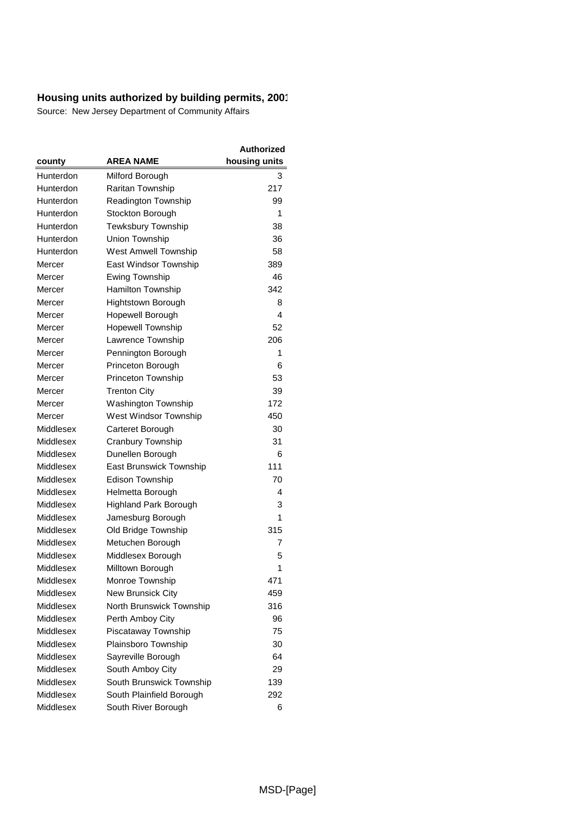|           |                              | <b>Authorized</b> |
|-----------|------------------------------|-------------------|
| county    | <b>AREA NAME</b>             | housing units     |
| Hunterdon | Milford Borough              | 3                 |
| Hunterdon | Raritan Township             | 217               |
| Hunterdon | <b>Readington Township</b>   | 99                |
| Hunterdon | Stockton Borough             | 1                 |
| Hunterdon | Tewksbury Township           | 38                |
| Hunterdon | Union Township               | 36                |
| Hunterdon | <b>West Amwell Township</b>  | 58                |
| Mercer    | East Windsor Township        | 389               |
| Mercer    | Ewing Township               | 46                |
| Mercer    | <b>Hamilton Township</b>     | 342               |
| Mercer    | Hightstown Borough           | 8                 |
| Mercer    | Hopewell Borough             | 4                 |
| Mercer    | <b>Hopewell Township</b>     | 52                |
| Mercer    | Lawrence Township            | 206               |
| Mercer    | Pennington Borough           | 1                 |
| Mercer    | Princeton Borough            | 6                 |
| Mercer    | Princeton Township           | 53                |
| Mercer    | <b>Trenton City</b>          | 39                |
| Mercer    | Washington Township          | 172               |
| Mercer    | West Windsor Township        | 450               |
| Middlesex | Carteret Borough             | 30                |
| Middlesex | Cranbury Township            | 31                |
| Middlesex | Dunellen Borough             | 6                 |
| Middlesex | East Brunswick Township      | 111               |
| Middlesex | <b>Edison Township</b>       | 70                |
| Middlesex | Helmetta Borough             | 4                 |
| Middlesex | <b>Highland Park Borough</b> | 3                 |
| Middlesex | Jamesburg Borough            | 1                 |
| Middlesex | Old Bridge Township          | 315               |
| Middlesex | Metuchen Borough             | 7                 |
| Middlesex | Middlesex Borough            | 5                 |
| Middlesex | Milltown Borough             | 1                 |
| Middlesex | Monroe Township              | 471               |
| Middlesex | New Brunsick City            | 459               |
| Middlesex | North Brunswick Township     | 316               |
| Middlesex | Perth Amboy City             | 96                |
| Middlesex | Piscataway Township          | 75                |
| Middlesex | Plainsboro Township          | 30                |
| Middlesex | Sayreville Borough           | 64                |
| Middlesex | South Amboy City             | 29                |
| Middlesex | South Brunswick Township     | 139               |
| Middlesex | South Plainfield Borough     | 292               |
| Middlesex | South River Borough          | 6                 |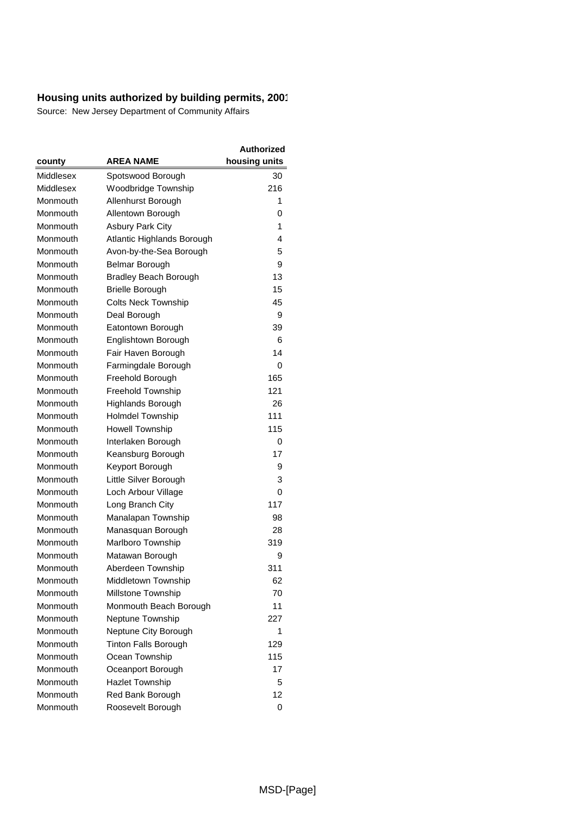|           |                              | Authorized    |
|-----------|------------------------------|---------------|
| county    | <b>AREA NAME</b>             | housing units |
| Middlesex | Spotswood Borough            | 30            |
| Middlesex | Woodbridge Township          | 216           |
| Monmouth  | Allenhurst Borough           | 1             |
| Monmouth  | Allentown Borough            | 0             |
| Monmouth  | <b>Asbury Park City</b>      | 1             |
| Monmouth  | Atlantic Highlands Borough   | 4             |
| Monmouth  | Avon-by-the-Sea Borough      | 5             |
| Monmouth  | Belmar Borough               | 9             |
| Monmouth  | <b>Bradley Beach Borough</b> | 13            |
| Monmouth  | <b>Brielle Borough</b>       | 15            |
| Monmouth  | <b>Colts Neck Township</b>   | 45            |
| Monmouth  | Deal Borough                 | 9             |
| Monmouth  | Eatontown Borough            | 39            |
| Monmouth  | Englishtown Borough          | 6             |
| Monmouth  | Fair Haven Borough           | 14            |
| Monmouth  | Farmingdale Borough          | 0             |
| Monmouth  | Freehold Borough             | 165           |
| Monmouth  | <b>Freehold Township</b>     | 121           |
| Monmouth  | Highlands Borough            | 26            |
| Monmouth  | <b>Holmdel Township</b>      | 111           |
| Monmouth  | <b>Howell Township</b>       | 115           |
| Monmouth  | Interlaken Borough           | 0             |
| Monmouth  | Keansburg Borough            | 17            |
| Monmouth  | Keyport Borough              | 9             |
| Monmouth  | Little Silver Borough        | 3             |
| Monmouth  | Loch Arbour Village          | 0             |
| Monmouth  | Long Branch City             | 117           |
| Monmouth  | Manalapan Township           | 98            |
| Monmouth  | Manasquan Borough            | 28            |
| Monmouth  | Marlboro Township            | 319           |
| Monmouth  | Matawan Borough              | 9             |
| Monmouth  | Aberdeen Township            | 311           |
| Monmouth  | Middletown Township          | 62            |
| Monmouth  | Millstone Township           | 70            |
| Monmouth  | Monmouth Beach Borough       | 11            |
| Monmouth  | Neptune Township             | 227           |
| Monmouth  | Neptune City Borough         | 1             |
| Monmouth  | <b>Tinton Falls Borough</b>  | 129           |
| Monmouth  | Ocean Township               | 115           |
| Monmouth  | Oceanport Borough            | 17            |
| Monmouth  | <b>Hazlet Township</b>       | 5             |
| Monmouth  | Red Bank Borough             | 12            |
| Monmouth  | Roosevelt Borough            | 0             |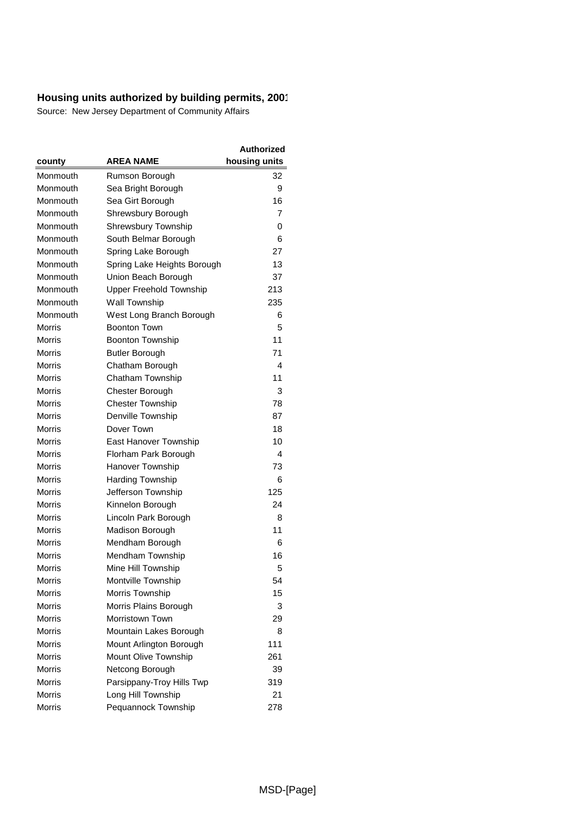|               |                                | Authorized    |
|---------------|--------------------------------|---------------|
| county        | <b>AREA NAME</b>               | housing units |
| Monmouth      | Rumson Borough                 | 32            |
| Monmouth      | Sea Bright Borough             | 9             |
| Monmouth      | Sea Girt Borough               | 16            |
| Monmouth      | Shrewsbury Borough             | 7             |
| Monmouth      | <b>Shrewsbury Township</b>     | 0             |
| Monmouth      | South Belmar Borough           | 6             |
| Monmouth      | Spring Lake Borough            | 27            |
| Monmouth      | Spring Lake Heights Borough    | 13            |
| Monmouth      | Union Beach Borough            | 37            |
| Monmouth      | <b>Upper Freehold Township</b> | 213           |
| Monmouth      | Wall Township                  | 235           |
| Monmouth      | West Long Branch Borough       | 6             |
| Morris        | <b>Boonton Town</b>            | 5             |
| Morris        | Boonton Township               | 11            |
| <b>Morris</b> | <b>Butler Borough</b>          | 71            |
| Morris        | Chatham Borough                | 4             |
| Morris        | Chatham Township               | 11            |
| Morris        | Chester Borough                | 3             |
| Morris        | <b>Chester Township</b>        | 78            |
| Morris        | Denville Township              | 87            |
| Morris        | Dover Town                     | 18            |
| Morris        | East Hanover Township          | 10            |
| Morris        | Florham Park Borough           | 4             |
| Morris        | Hanover Township               | 73            |
| Morris        | <b>Harding Township</b>        | 6             |
| <b>Morris</b> | Jefferson Township             | 125           |
| Morris        | Kinnelon Borough               | 24            |
| Morris        | Lincoln Park Borough           | 8             |
| Morris        | Madison Borough                | 11            |
| Morris        | Mendham Borough                | 6             |
| Morris        | Mendham Township               | 16            |
| Morris        | Mine Hill Township             | 5             |
| Morris        | Montville Township             | 54            |
| Morris        | Morris Township                | 15            |
| <b>Morris</b> | Morris Plains Borough          | 3             |
| <b>Morris</b> | Morristown Town                | 29            |
| <b>Morris</b> | Mountain Lakes Borough         | 8             |
| Morris        | Mount Arlington Borough        | 111           |
| <b>Morris</b> | Mount Olive Township           | 261           |
| <b>Morris</b> | Netcong Borough                | 39            |
| Morris        | Parsippany-Troy Hills Twp      | 319           |
| <b>Morris</b> | Long Hill Township             | 21            |
| <b>Morris</b> | Pequannock Township            | 278           |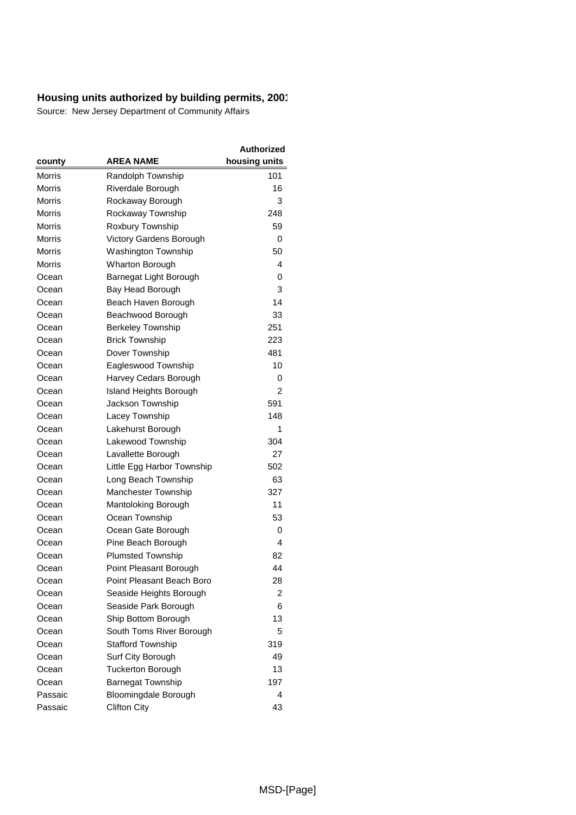|               |                               | <b>Authorized</b> |
|---------------|-------------------------------|-------------------|
| county        | <b>AREA NAME</b>              | housing units     |
| Morris        | Randolph Township             | 101               |
| Morris        | Riverdale Borough             | 16                |
| Morris        | Rockaway Borough              | 3                 |
| Morris        | Rockaway Township             | 248               |
| <b>Morris</b> | Roxbury Township              | 59                |
| <b>Morris</b> | Victory Gardens Borough       | 0                 |
| Morris        | Washington Township           | 50                |
| Morris        | Wharton Borough               | 4                 |
| Ocean         | Barnegat Light Borough        | 0                 |
| Ocean         | Bay Head Borough              | 3                 |
| Ocean         | Beach Haven Borough           | 14                |
| Ocean         | Beachwood Borough             | 33                |
| Ocean         | <b>Berkeley Township</b>      | 251               |
| Ocean         | <b>Brick Township</b>         | 223               |
| Ocean         | Dover Township                | 481               |
| Ocean         | Eagleswood Township           | 10                |
| Ocean         | Harvey Cedars Borough         | 0                 |
| Ocean         | <b>Island Heights Borough</b> | $\overline{c}$    |
| Ocean         | Jackson Township              | 591               |
| Ocean         | Lacey Township                | 148               |
| Ocean         | Lakehurst Borough             | 1                 |
| Ocean         | Lakewood Township             | 304               |
| Ocean         | Lavallette Borough            | 27                |
| Ocean         | Little Egg Harbor Township    | 502               |
| Ocean         | Long Beach Township           | 63                |
| Ocean         | <b>Manchester Township</b>    | 327               |
| Ocean         | Mantoloking Borough           | 11                |
| Ocean         | Ocean Township                | 53                |
| Ocean         | Ocean Gate Borough            | 0                 |
| Ocean         | Pine Beach Borough            | 4                 |
| Ocean         | <b>Plumsted Township</b>      | 82                |
| Ocean         | Point Pleasant Borough        | 44                |
| Ocean         | Point Pleasant Beach Boro     | 28                |
| Ocean         | Seaside Heights Borough       | 2                 |
| Ocean         | Seaside Park Borough          | 6                 |
| Ocean         | Ship Bottom Borough           | 13                |
| Ocean         | South Toms River Borough      | 5                 |
| Ocean         | <b>Stafford Township</b>      | 319               |
| Ocean         | Surf City Borough             | 49                |
| Ocean         | <b>Tuckerton Borough</b>      | 13                |
| Ocean         | <b>Barnegat Township</b>      | 197               |
| Passaic       | Bloomingdale Borough          | 4                 |
| Passaic       | <b>Clifton City</b>           | 43                |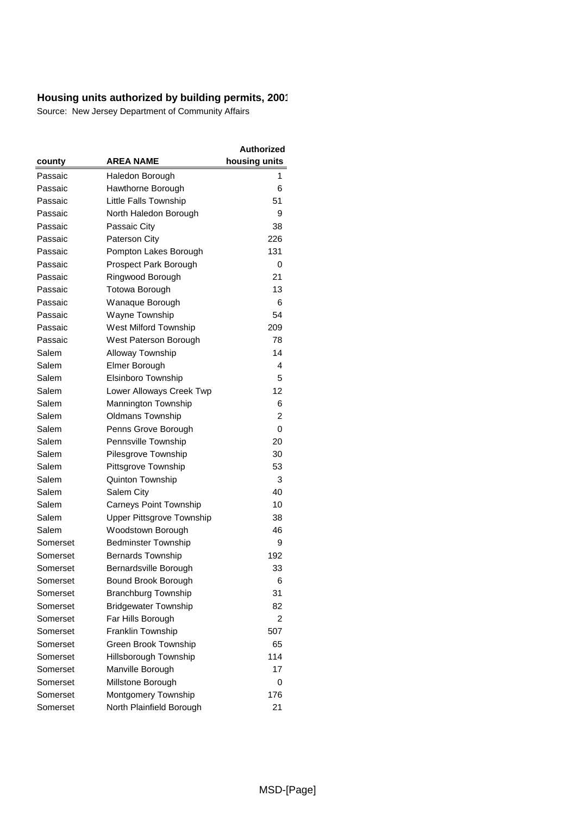|          |                                  | <b>Authorized</b> |
|----------|----------------------------------|-------------------|
| county   | <b>AREA NAME</b>                 | housing units     |
| Passaic  | Haledon Borough                  | 1                 |
| Passaic  | Hawthorne Borough                | 6                 |
| Passaic  | Little Falls Township            | 51                |
| Passaic  | North Haledon Borough            | 9                 |
| Passaic  | Passaic City                     | 38                |
| Passaic  | Paterson City                    | 226               |
| Passaic  | Pompton Lakes Borough            | 131               |
| Passaic  | Prospect Park Borough            | 0                 |
| Passaic  | Ringwood Borough                 | 21                |
| Passaic  | Totowa Borough                   | 13                |
| Passaic  | Wanaque Borough                  | 6                 |
| Passaic  | Wayne Township                   | 54                |
| Passaic  | West Milford Township            | 209               |
| Passaic  | West Paterson Borough            | 78                |
| Salem    | Alloway Township                 | 14                |
| Salem    | Elmer Borough                    | 4                 |
| Salem    | Elsinboro Township               | 5                 |
| Salem    | Lower Alloways Creek Twp         | 12                |
| Salem    | Mannington Township              | 6                 |
| Salem    | <b>Oldmans Township</b>          | 2                 |
| Salem    | Penns Grove Borough              | 0                 |
| Salem    | Pennsville Township              | 20                |
| Salem    | Pilesgrove Township              | 30                |
| Salem    | Pittsgrove Township              | 53                |
| Salem    | Quinton Township                 | 3                 |
| Salem    | Salem City                       | 40                |
| Salem    | <b>Carneys Point Township</b>    | 10                |
| Salem    | <b>Upper Pittsgrove Township</b> | 38                |
| Salem    | Woodstown Borough                | 46                |
| Somerset | <b>Bedminster Township</b>       | 9                 |
| Somerset | <b>Bernards Township</b>         | 192               |
| Somerset | Bernardsville Borough            | 33                |
| Somerset | Bound Brook Borough              | 6                 |
| Somerset | <b>Branchburg Township</b>       | 31                |
| Somerset | <b>Bridgewater Township</b>      | 82                |
| Somerset | Far Hills Borough                | 2                 |
| Somerset | <b>Franklin Township</b>         | 507               |
| Somerset | Green Brook Township             | 65                |
| Somerset | Hillsborough Township            | 114               |
| Somerset | Manville Borough                 | 17                |
| Somerset | Millstone Borough                | 0                 |
| Somerset | Montgomery Township              | 176               |
| Somerset | North Plainfield Borough         | 21                |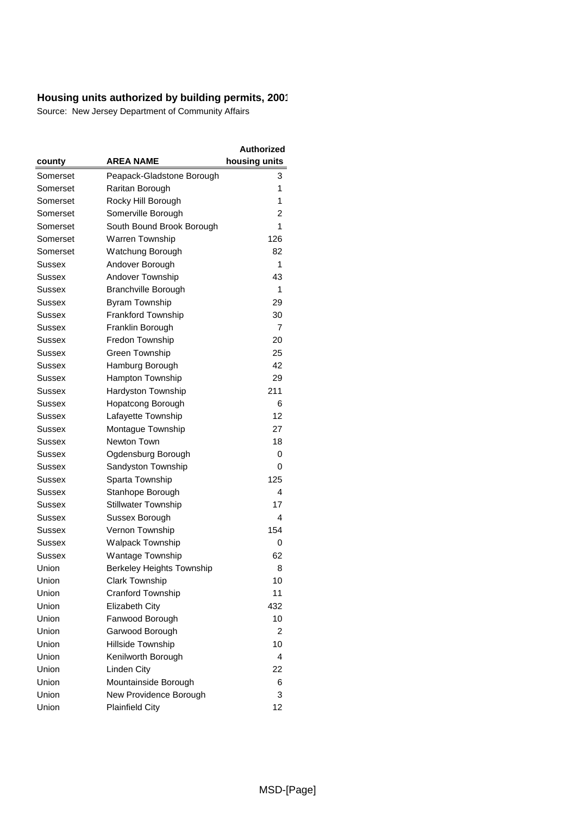|          |                                  | Authorized    |
|----------|----------------------------------|---------------|
| county   | AREA NAME                        | housing units |
| Somerset | Peapack-Gladstone Borough        | 3             |
| Somerset | Raritan Borough                  | 1             |
| Somerset | Rocky Hill Borough               | 1             |
| Somerset | Somerville Borough               | 2             |
| Somerset | South Bound Brook Borough        | 1             |
| Somerset | Warren Township                  | 126           |
| Somerset | Watchung Borough                 | 82            |
| Sussex   | Andover Borough                  | 1             |
| Sussex   | Andover Township                 | 43            |
| Sussex   | <b>Branchville Borough</b>       | 1             |
| Sussex   | Byram Township                   | 29            |
| Sussex   | Frankford Township               | 30            |
| Sussex   | Franklin Borough                 | 7             |
| Sussex   | Fredon Township                  | 20            |
| Sussex   | <b>Green Township</b>            | 25            |
| Sussex   | Hamburg Borough                  | 42            |
| Sussex   | Hampton Township                 | 29            |
| Sussex   | Hardyston Township               | 211           |
| Sussex   | Hopatcong Borough                | 6             |
| Sussex   | Lafayette Township               | 12            |
| Sussex   | Montague Township                | 27            |
| Sussex   | Newton Town                      | 18            |
| Sussex   | Ogdensburg Borough               | 0             |
| Sussex   | Sandyston Township               | 0             |
| Sussex   | Sparta Township                  | 125           |
| Sussex   | Stanhope Borough                 | 4             |
| Sussex   | <b>Stillwater Township</b>       | 17            |
| Sussex   | Sussex Borough                   | 4             |
| Sussex   | Vernon Township                  | 154           |
| Sussex   | <b>Walpack Township</b>          | 0             |
| Sussex   | Wantage Township                 | 62            |
| Union    | <b>Berkeley Heights Township</b> | 8             |
| Union    | Clark Township                   | 10            |
| Union    | Cranford Township                | 11            |
| Union    | <b>Elizabeth City</b>            | 432           |
| Union    | Fanwood Borough                  | 10            |
| Union    | Garwood Borough                  | 2             |
| Union    | Hillside Township                | 10            |
| Union    | Kenilworth Borough               | 4             |
| Union    | Linden City                      | 22            |
| Union    | Mountainside Borough             | 6             |
| Union    | New Providence Borough           | 3             |
| Union    | <b>Plainfield City</b>           | 12            |